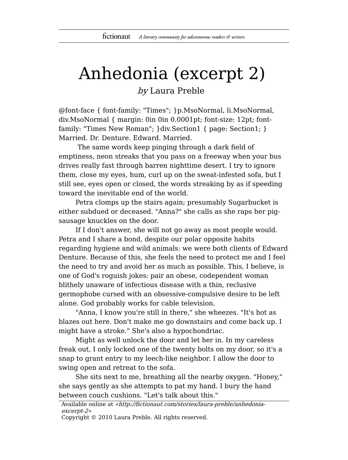## Anhedonia (excerpt 2)

by Laura Preble

@font-face { font-family: "Times"; }p.MsoNormal, li.MsoNormal, div.MsoNormal { margin: 0in 0in 0.0001pt; font-size: 12pt; fontfamily: "Times New Roman"; }div.Section1 { page: Section1; } Married. Dr. Denture. Edward. Married.

The same words keep pinging through a dark field of emptiness, neon streaks that you pass on a freeway when your bus drives really fast through barren nighttime desert. I try to ignore them, close my eyes, hum, curl up on the sweat-infested sofa, but I still see, eyes open or closed, the words streaking by as if speeding toward the inevitable end of the world.

Petra clomps up the stairs again; presumably Sugarbucket is either subdued or deceased. "Anna?" she calls as she raps her pigsausage knuckles on the door.

If I don't answer, she will not go away as most people would. Petra and I share a bond, despite our polar opposite habits regarding hygiene and wild animals: we were both clients of Edward Denture. Because of this, she feels the need to protect me and I feel the need to try and avoid her as much as possible. This, I believe, is one of God's roguish jokes: pair an obese, codependent woman blithely unaware of infectious disease with a thin, reclusive germophobe cursed with an obsessive-compulsive desire to be left alone. God probably works for cable television.

"Anna, I know you're still in there," she wheezes. "It's hot as blazes out here. Don't make me go downstairs and come back up. I might have a stroke." She's also a hypochondriac.

Might as well unlock the door and let her in. In my careless freak out, I only locked one of the twenty bolts on my door, so it's a snap to grant entry to my leech-like neighbor. I allow the door to swing open and retreat to the sofa.

She sits next to me, breathing all the nearby oxygen. "Honey," she says gently as she attempts to pat my hand. I bury the hand between couch cushions. "Let's talk about this."

Available online at «http://fictionaut.com/stories/laura-preble/anhedoniaexcerpt-2»

Copyright © 2010 Laura Preble. All rights reserved.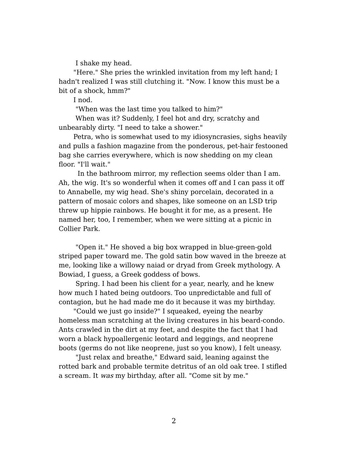I shake my head.

"Here." She pries the wrinkled invitation from my left hand; I hadn't realized I was still clutching it. "Now. I know this must be a bit of a shock, hmm?"

I nod.

"When was the last time you talked to him?"

When was it? Suddenly, I feel hot and dry, scratchy and unbearably dirty. "I need to take a shower."

Petra, who is somewhat used to my idiosyncrasies, sighs heavily and pulls a fashion magazine from the ponderous, pet-hair festooned bag she carries everywhere, which is now shedding on my clean floor. "I'll wait."

In the bathroom mirror, my reflection seems older than I am. Ah, the wig. It's so wonderful when it comes off and I can pass it off to Annabelle, my wig head. She's shiny porcelain, decorated in a pattern of mosaic colors and shapes, like someone on an LSD trip threw up hippie rainbows. He bought it for me, as a present. He named her, too, I remember, when we were sitting at a picnic in Collier Park.

"Open it." He shoved a big box wrapped in blue-green-gold striped paper toward me. The gold satin bow waved in the breeze at me, looking like a willowy naiad or dryad from Greek mythology. A Bowiad, I guess, a Greek goddess of bows.

Spring. I had been his client for a year, nearly, and he knew how much I hated being outdoors. Too unpredictable and full of contagion, but he had made me do it because it was my birthday.

"Could we just go inside?" I squeaked, eyeing the nearby homeless man scratching at the living creatures in his beard-condo. Ants crawled in the dirt at my feet, and despite the fact that I had worn a black hypoallergenic leotard and leggings, and neoprene boots (germs do not like neoprene, just so you know), I felt uneasy.

"Just relax and breathe," Edward said, leaning against the rotted bark and probable termite detritus of an old oak tree. I stifled a scream. It was my birthday, after all. "Come sit by me."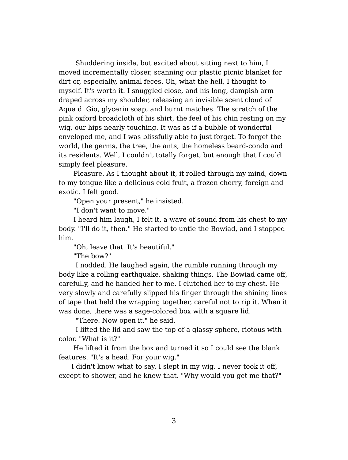Shuddering inside, but excited about sitting next to him, I moved incrementally closer, scanning our plastic picnic blanket for dirt or, especially, animal feces. Oh, what the hell, I thought to myself. It's worth it. I snuggled close, and his long, dampish arm draped across my shoulder, releasing an invisible scent cloud of Aqua di Gio, glycerin soap, and burnt matches. The scratch of the pink oxford broadcloth of his shirt, the feel of his chin resting on my wig, our hips nearly touching. It was as if a bubble of wonderful enveloped me, and I was blissfully able to just forget. To forget the world, the germs, the tree, the ants, the homeless beard-condo and its residents. Well, I couldn't totally forget, but enough that I could simply feel pleasure.

Pleasure. As I thought about it, it rolled through my mind, down to my tongue like a delicious cold fruit, a frozen cherry, foreign and exotic. I felt good.

"Open your present," he insisted.

"I don't want to move."

I heard him laugh, I felt it, a wave of sound from his chest to my body. "I'll do it, then." He started to untie the Bowiad, and I stopped him.

"Oh, leave that. It's beautiful."

"The bow?"

I nodded. He laughed again, the rumble running through my body like a rolling earthquake, shaking things. The Bowiad came off, carefully, and he handed her to me. I clutched her to my chest. He very slowly and carefully slipped his finger through the shining lines of tape that held the wrapping together, careful not to rip it. When it was done, there was a sage-colored box with a square lid.

"There. Now open it," he said.

I lifted the lid and saw the top of a glassy sphere, riotous with color. "What is it?"

He lifted it from the box and turned it so I could see the blank features. "It's a head. For your wig."

I didn't know what to say. I slept in my wig. I never took it off, except to shower, and he knew that. "Why would you get me that?"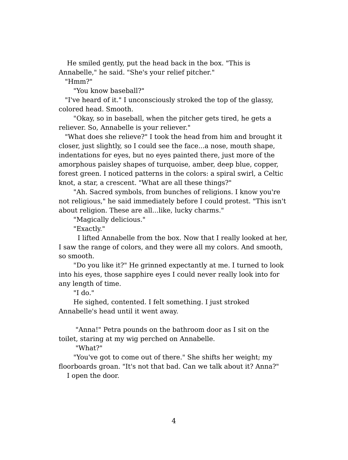He smiled gently, put the head back in the box. "This is Annabelle," he said. "She's your relief pitcher."

"Hmm?"

"You know baseball?"

"I've heard of it." I unconsciously stroked the top of the glassy, colored head. Smooth.

"Okay, so in baseball, when the pitcher gets tired, he gets a reliever. So, Annabelle is your reliever."

"What does she relieve?" I took the head from him and brought it closer, just slightly, so I could see the face...a nose, mouth shape, indentations for eyes, but no eyes painted there, just more of the amorphous paisley shapes of turquoise, amber, deep blue, copper, forest green. I noticed patterns in the colors: a spiral swirl, a Celtic knot, a star, a crescent. "What are all these things?"

"Ah. Sacred symbols, from bunches of religions. I know you're not religious," he said immediately before I could protest. "This isn't about religion. These are all...like, lucky charms."

"Magically delicious."

"Exactly."

I lifted Annabelle from the box. Now that I really looked at her, I saw the range of colors, and they were all my colors. And smooth, so smooth.

"Do you like it?" He grinned expectantly at me. I turned to look into his eyes, those sapphire eyes I could never really look into for any length of time.

"I do."

He sighed, contented. I felt something. I just stroked Annabelle's head until it went away.

"Anna!" Petra pounds on the bathroom door as I sit on the toilet, staring at my wig perched on Annabelle.

"What?"

"You've got to come out of there." She shifts her weight; my floorboards groan. "It's not that bad. Can we talk about it? Anna?" I open the door.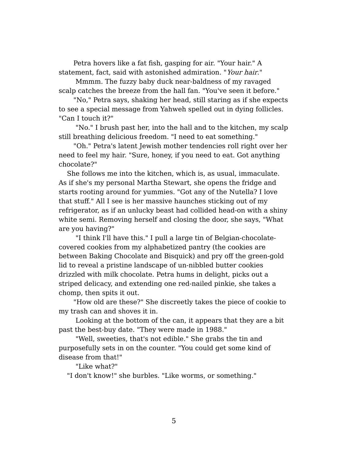Petra hovers like a fat fish, gasping for air. "Your hair." A statement, fact, said with astonished admiration. "Your hair."

Mmmm. The fuzzy baby duck near-baldness of my ravaged scalp catches the breeze from the hall fan. "You've seen it before."

"No," Petra says, shaking her head, still staring as if she expects to see a special message from Yahweh spelled out in dying follicles. "Can I touch it?"

"No." I brush past her, into the hall and to the kitchen, my scalp still breathing delicious freedom. "I need to eat something."

"Oh." Petra's latent Jewish mother tendencies roll right over her need to feel my hair. "Sure, honey, if you need to eat. Got anything chocolate?"

She follows me into the kitchen, which is, as usual, immaculate. As if she's my personal Martha Stewart, she opens the fridge and starts rooting around for yummies. "Got any of the Nutella? I love that stuff." All I see is her massive haunches sticking out of my refrigerator, as if an unlucky beast had collided head-on with a shiny white semi. Removing herself and closing the door, she says, "What are you having?"

"I think I'll have this." I pull a large tin of Belgian-chocolatecovered cookies from my alphabetized pantry (the cookies are between Baking Chocolate and Bisquick) and pry off the green-gold lid to reveal a pristine landscape of un-nibbled butter cookies drizzled with milk chocolate. Petra hums in delight, picks out a striped delicacy, and extending one red-nailed pinkie, she takes a chomp, then spits it out.

"How old are these?" She discreetly takes the piece of cookie to my trash can and shoves it in.

Looking at the bottom of the can, it appears that they are a bit past the best-buy date. "They were made in 1988."

"Well, sweeties, that's not edible." She grabs the tin and purposefully sets in on the counter. "You could get some kind of disease from that!"

"Like what?"

"I don't know!" she burbles. "Like worms, or something."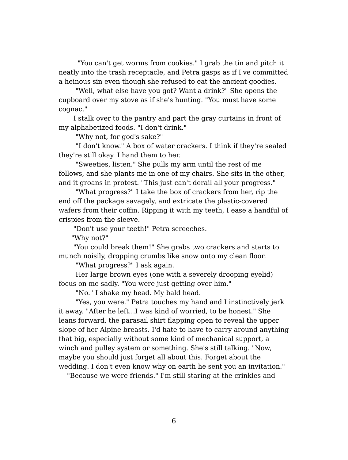"You can't get worms from cookies." I grab the tin and pitch it neatly into the trash receptacle, and Petra gasps as if I've committed a heinous sin even though she refused to eat the ancient goodies.

"Well, what else have you got? Want a drink?" She opens the cupboard over my stove as if she's hunting. "You must have some cognac."

I stalk over to the pantry and part the gray curtains in front of my alphabetized foods. "I don't drink."

"Why not, for god's sake?"

"I don't know." A box of water crackers. I think if they're sealed they're still okay. I hand them to her.

"Sweeties, listen." She pulls my arm until the rest of me follows, and she plants me in one of my chairs. She sits in the other, and it groans in protest. "This just can't derail all your progress."

"What progress?" I take the box of crackers from her, rip the end off the package savagely, and extricate the plastic-covered wafers from their coffin. Ripping it with my teeth, I ease a handful of crispies from the sleeve.

"Don't use your teeth!" Petra screeches.

"Why not?"

"You could break them!" She grabs two crackers and starts to munch noisily, dropping crumbs like snow onto my clean floor.

"What progress?" I ask again.

Her large brown eyes (one with a severely drooping eyelid) focus on me sadly. "You were just getting over him."

"No." I shake my head. My bald head.

"Yes, you were." Petra touches my hand and I instinctively jerk it away. "After he left...I was kind of worried, to be honest." She leans forward, the parasail shirt flapping open to reveal the upper slope of her Alpine breasts. I'd hate to have to carry around anything that big, especially without some kind of mechanical support, a winch and pulley system or something. She's still talking. "Now, maybe you should just forget all about this. Forget about the wedding. I don't even know why on earth he sent you an invitation."

"Because we were friends." I'm still staring at the crinkles and